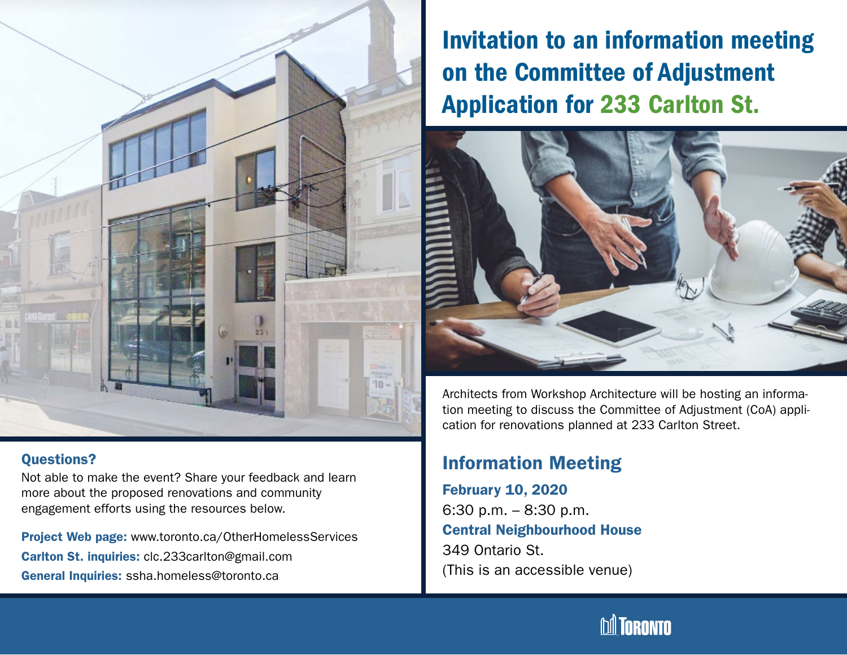

#### Questions?

Not able to make the event? Share your feedback and learn more about the proposed renovations and community engagement efforts using the resources below.

Project Web page: www.toronto.ca/OtherHomelessServices Carlton St. inquiries: clc.233carlton@gmail.com General Inquiries: ssha.homeless@toronto.ca

# Invitation to an information meeting on the Committee of Adjustment Application for 233 Carlton St.



Architects from Workshop Architecture will be hosting an information meeting to discuss the Committee of Adjustment (CoA) application for renovations planned at 233 Carlton Street.

## Information Meeting

February 10, 2020 6:30 p.m. – 8:30 p.m. Central Neighbourhood House 349 Ontario St. (This is an accessible venue)